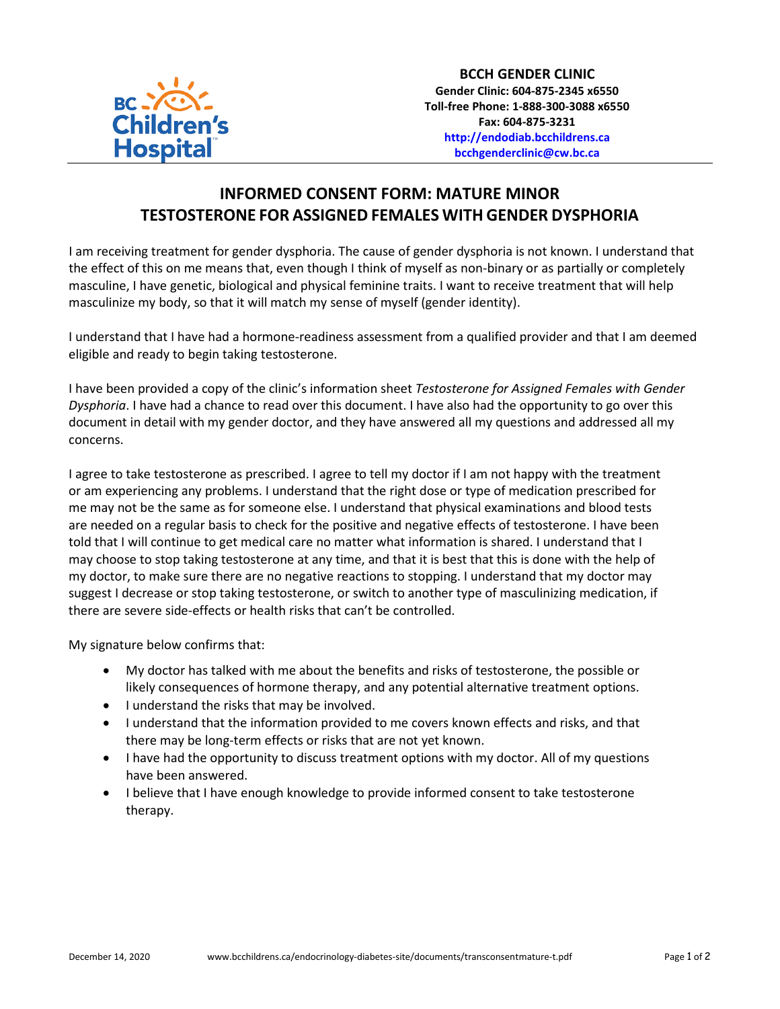

## **INFORMED CONSENT FORM: MATURE MINOR TESTOSTERONE FOR ASSIGNED FEMALES WITH GENDER DYSPHORIA**

I am receiving treatment for gender dysphoria. The cause of gender dysphoria is not known. I understand that the effect of this on me means that, even though I think of myself as non-binary or as partially or completely masculine, I have genetic, biological and physical feminine traits. I want to receive treatment that will help masculinize my body, so that it will match my sense of myself (gender identity).

I understand that I have had a hormone-readiness assessment from a qualified provider and that I am deemed eligible and ready to begin taking testosterone.

I have been provided a copy of the clinic's information sheet *Testosterone for Assigned Females with Gender Dysphoria*. I have had a chance to read over this document. I have also had the opportunity to go over this document in detail with my gender doctor, and they have answered all my questions and addressed all my concerns.

I agree to take testosterone as prescribed. I agree to tell my doctor if I am not happy with the treatment or am experiencing any problems. I understand that the right dose or type of medication prescribed for me may not be the same as for someone else. I understand that physical examinations and blood tests are needed on a regular basis to check for the positive and negative effects of testosterone. I have been told that I will continue to get medical care no matter what information is shared. I understand that I may choose to stop taking testosterone at any time, and that it is best that this is done with the help of my doctor, to make sure there are no negative reactions to stopping. I understand that my doctor may suggest I decrease or stop taking testosterone, or switch to another type of masculinizing medication, if there are severe side-effects or health risks that can't be controlled.

My signature below confirms that:

- My doctor has talked with me about the benefits and risks of testosterone, the possible or likely consequences of hormone therapy, and any potential alternative treatment options.
- I understand the risks that may be involved.
- I understand that the information provided to me covers known effects and risks, and that there may be long-term effects or risks that are not yet known.
- I have had the opportunity to discuss treatment options with my doctor. All of my questions have been answered.
- I believe that I have enough knowledge to provide informed consent to take testosterone therapy.